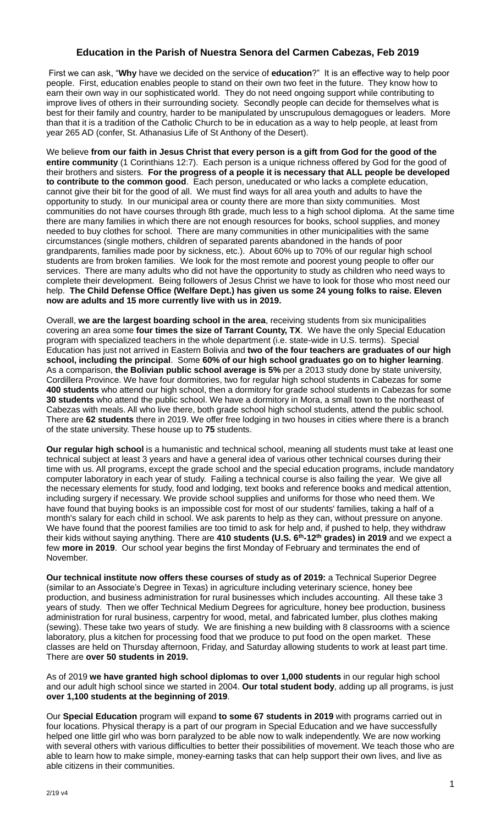## **Education in the Parish of Nuestra Senora del Carmen Cabezas, Feb 2019**

First we can ask, "**Why** have we decided on the service of **education**?" It is an effective way to help poor people. First, education enables people to stand on their own two feet in the future. They know how to earn their own way in our sophisticated world. They do not need ongoing support while contributing to improve lives of others in their surrounding society. Secondly people can decide for themselves what is best for their family and country, harder to be manipulated by unscrupulous demagogues or leaders. More than that it is a tradition of the Catholic Church to be in education as a way to help people, at least from year 265 AD (confer, St. Athanasius Life of St Anthony of the Desert).

We believe **from our faith in Jesus Christ that every person is a gift from God for the good of the entire community** (1 Corinthians 12:7). Each person is a unique richness offered by God for the good of their brothers and sisters. **For the progress of a people it is necessary that ALL people be developed to contribute to the common good**. Each person, uneducated or who lacks a complete education, cannot give their bit for the good of all. We must find ways for all area youth and adults to have the opportunity to study. In our municipal area or county there are more than sixty communities. Most communities do not have courses through 8th grade, much less to a high school diploma. At the same time there are many families in which there are not enough resources for books, school supplies, and money needed to buy clothes for school. There are many communities in other municipalities with the same circumstances (single mothers, children of separated parents abandoned in the hands of poor grandparents, families made poor by sickness, etc.). About 60% up to 70% of our regular high school students are from broken families. We look for the most remote and poorest young people to offer our services. There are many adults who did not have the opportunity to study as children who need ways to complete their development. Being followers of Jesus Christ we have to look for those who most need our help. **The Child Defense Office (Welfare Dept.) has given us some 24 young folks to raise. Eleven now are adults and 15 more currently live with us in 2019.**

Overall, **we are the largest boarding school in the area**, receiving students from six municipalities covering an area some **four times the size of Tarrant County, TX**. We have the only Special Education program with specialized teachers in the whole department (i.e. state-wide in U.S. terms). Special Education has just not arrived in Eastern Bolivia and **two of the four teachers are graduates of our high school, including the principal**. Some **60% of our high school graduates go on to higher learning**. As a comparison, **the Bolivian public school average is 5%** per a 2013 study done by state university, Cordillera Province. We have four dormitories, two for regular high school students in Cabezas for some **400 students** who attend our high school, then a dormitory for grade school students in Cabezas for some **30 students** who attend the public school. We have a dormitory in Mora, a small town to the northeast of Cabezas with meals. All who live there, both grade school high school students, attend the public school. There are **62 students** there in 2019. We offer free lodging in two houses in cities where there is a branch of the state university. These house up to **75** students.

**Our regular high school** is a humanistic and technical school, meaning all students must take at least one technical subject at least 3 years and have a general idea of various other technical courses during their time with us. All programs, except the grade school and the special education programs, include mandatory computer laboratory in each year of study. Failing a technical course is also failing the year. We give all the necessary elements for study, food and lodging, text books and reference books and medical attention, including surgery if necessary. We provide school supplies and uniforms for those who need them. We have found that buying books is an impossible cost for most of our students' families, taking a half of a month's salary for each child in school. We ask parents to help as they can, without pressure on anyone. We have found that the poorest families are too timid to ask for help and, if pushed to help, they withdraw their kids without saying anything. There are **410 students (U.S. 6th-12th grades) in 2019** and we expect a few **more in 2019**. Our school year begins the first Monday of February and terminates the end of November.

**Our technical institute now offers these courses of study as of 2019:** a Technical Superior Degree (similar to an Associate's Degree in Texas) in agriculture including veterinary science, honey bee production, and business administration for rural businesses which includes accounting. All these take 3 years of study. Then we offer Technical Medium Degrees for agriculture, honey bee production, business administration for rural business, carpentry for wood, metal, and fabricated lumber, plus clothes making (sewing). These take two years of study. We are finishing a new building with 8 classrooms with a science laboratory, plus a kitchen for processing food that we produce to put food on the open market. These classes are held on Thursday afternoon, Friday, and Saturday allowing students to work at least part time. There are **over 50 students in 2019.**

As of 2019 **we have granted high school diplomas to over 1,000 students** in our regular high school and our adult high school since we started in 2004. **Our total student body**, adding up all programs, is just **over 1,100 students at the beginning of 2019**.

Our **Special Education** program will expand **to some 67 students in 2019** with programs carried out in four locations. Physical therapy is a part of our program in Special Education and we have successfully helped one little girl who was born paralyzed to be able now to walk independently. We are now working with several others with various difficulties to better their possibilities of movement. We teach those who are able to learn how to make simple, money-earning tasks that can help support their own lives, and live as able citizens in their communities.